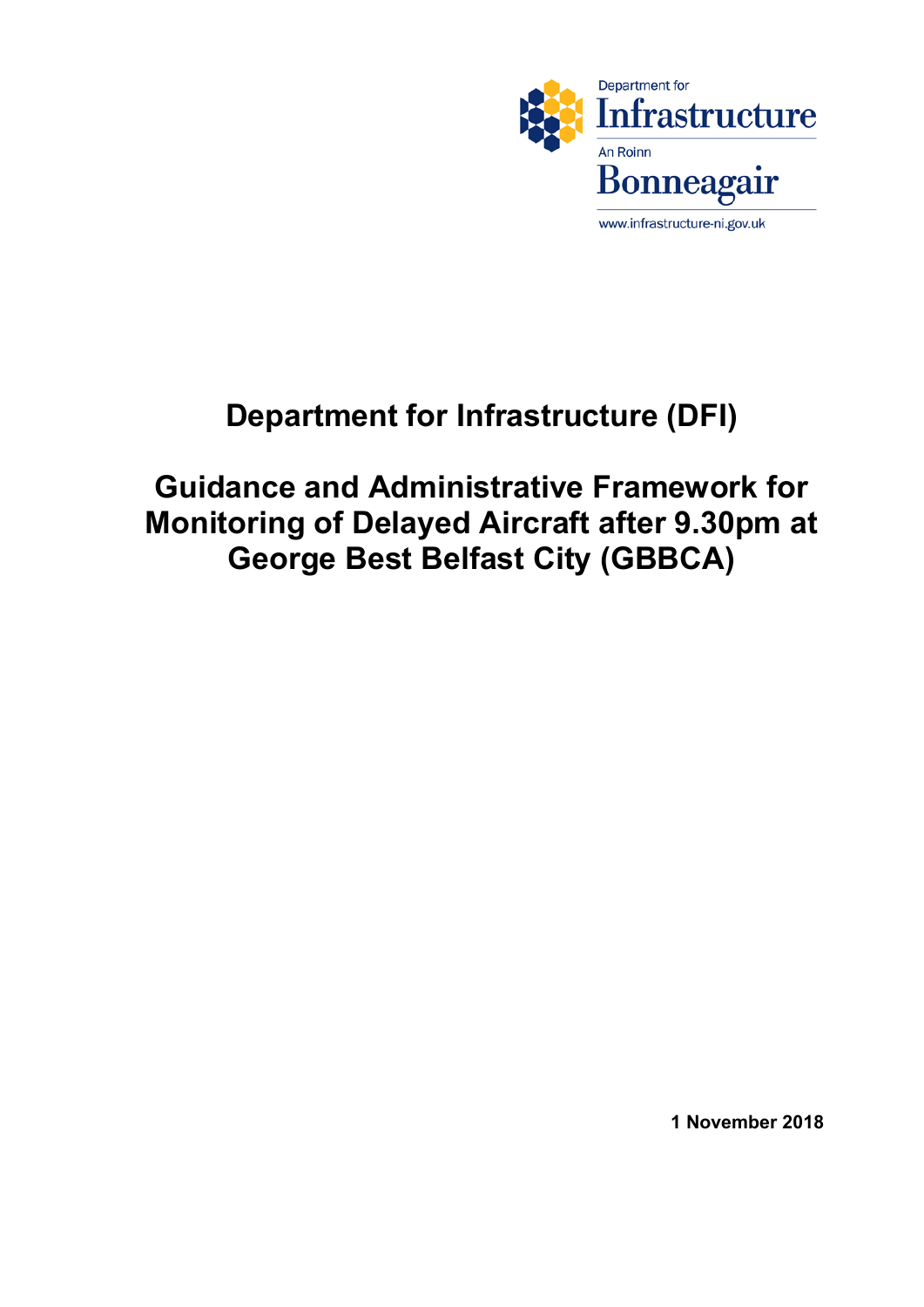

# **Department for Infrastructure (DFI)**

 **Monitoring of Delayed Aircraft after 9.30pm at George Best Belfast City (GBBCA) Guidance and Administrative Framework for** 

 **1 November 2018**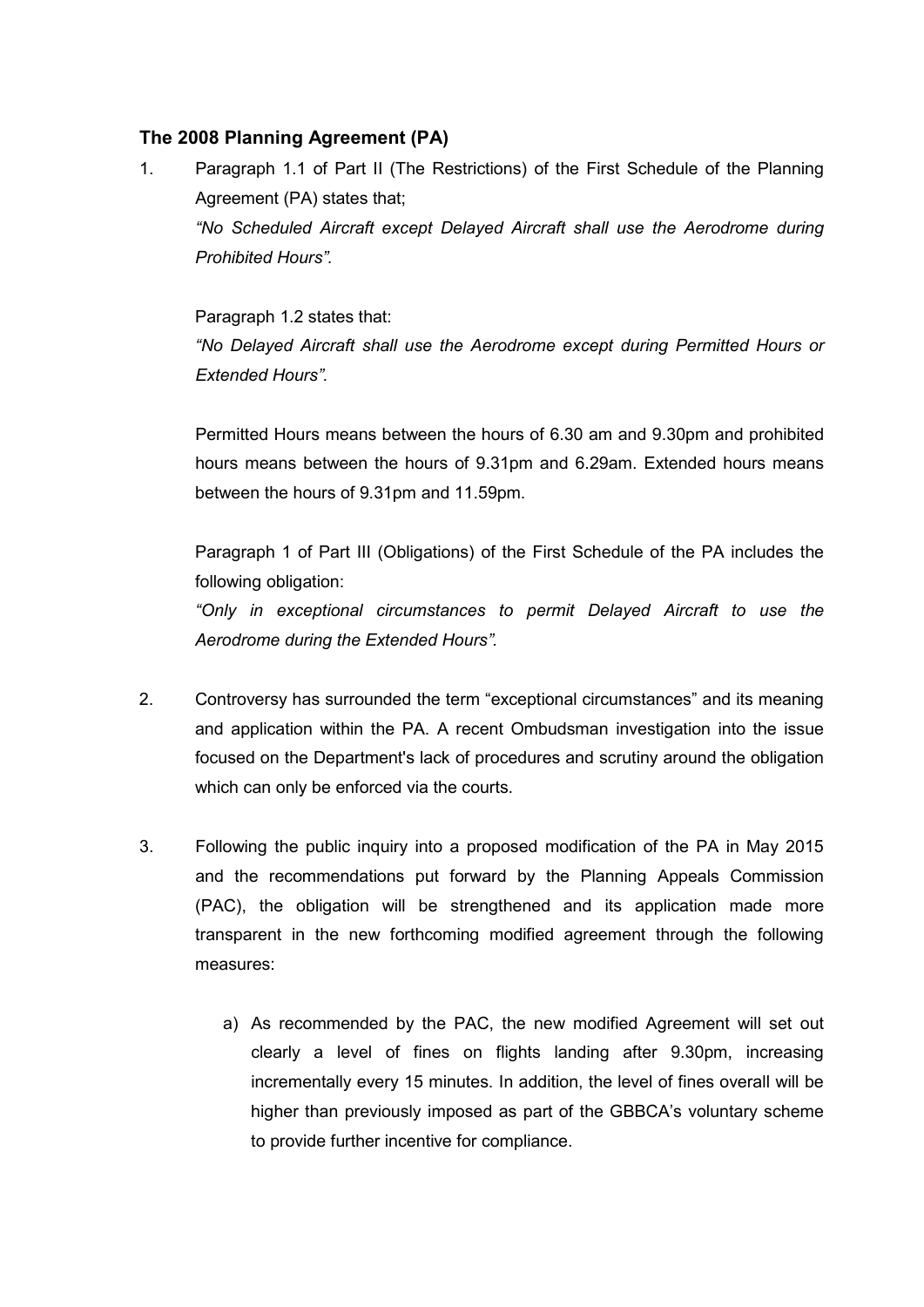# **The 2008 Planning Agreement (PA)**

 1. Paragraph 1.1 of Part II (The Restrictions) of the First Schedule of the Planning Agreement (PA) states that;  *"No Scheduled Aircraft except Delayed Aircraft shall use the Aerodrome during Prohibited Hours".*

 Paragraph 1.2 states that:  *"No Delayed Aircraft shall use the Aerodrome except during Permitted Hours or Extended Hours".*

 Permitted Hours means between the hours of 6.30 am and 9.30pm and prohibited hours means between the hours of 9.31pm and 6.29am. Extended hours means between the hours of 9.31pm and 11.59pm.

 Paragraph 1 of Part III (Obligations) of the First Schedule of the PA includes the following obligation:

 *"Only in exceptional circumstances to permit Delayed Aircraft to use the Aerodrome during the Extended Hours".*

- 2. Controversy has surrounded the term "exceptional circumstances" and its meaning and application within the PA. A recent Ombudsman investigation into the issue focused on the Department's lack of procedures and scrutiny around the obligation which can only be enforced via the courts.
- 3. Following the public inquiry into a proposed modification of the PA in May 2015 and the recommendations put forward by the Planning Appeals Commission (PAC), the obligation will be strengthened and its application made more transparent in the new forthcoming modified agreement through the following measures:
	- clearly a level of fines on flights landing after 9.30pm, increasing incrementally every 15 minutes. In addition, the level of fines overall will be higher than previously imposed as part of the GBBCA's voluntary scheme to provide further incentive for compliance.a) As recommended by the PAC, the new modified Agreement will set out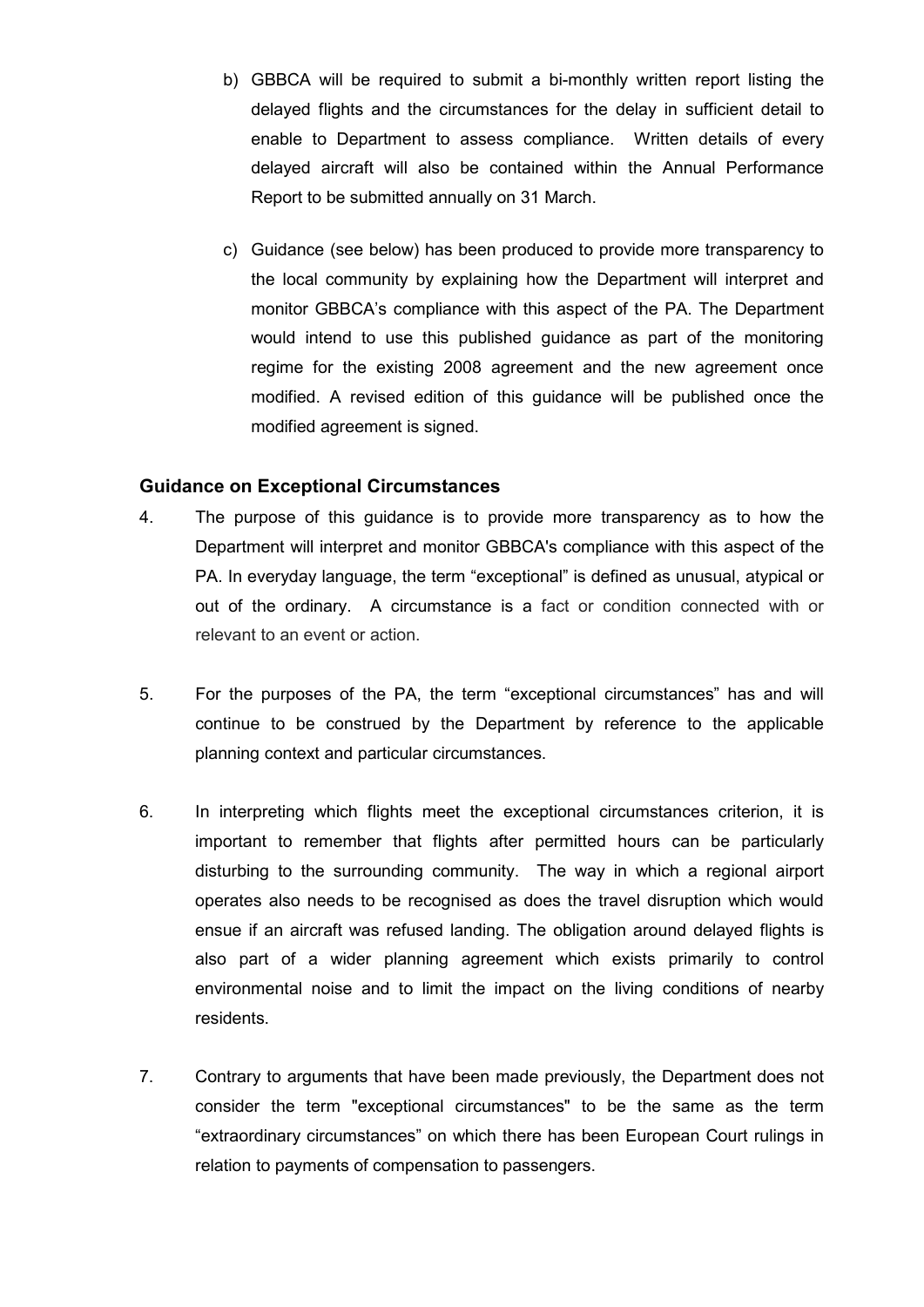- b) GBBCA will be required to submit a bi-monthly written report listing the delayed flights and the circumstances for the delay in sufficient detail to enable to Department to assess compliance. Written details of every delayed aircraft will also be contained within the Annual Performance Report to be submitted annually on 31 March.
- c) Guidance (see below) has been produced to provide more transparency to the local community by explaining how the Department will interpret and monitor GBBCA's compliance with this aspect of the PA. The Department would intend to use this published guidance as part of the monitoring modified. A revised edition of this guidance will be published once the modified agreement is signed. regime for the existing 2008 agreement and the new agreement once

## **Guidance on Exceptional Circumstances**

- $\overline{4}$ . Department will interpret and monitor GBBCA's compliance with this aspect of the PA. In everyday language, the term "exceptional" is defined as unusual, atypical or out of the ordinary. A circumstance is a fact or condition connected with or relevant to an event or action. The purpose of this guidance is to provide more transparency as to how the
- 5. continue to be construed by the Department by reference to the applicable planning context and particular circumstances. 5. For the purposes of the PA, the term "exceptional circumstances" has and will
- $6.$  important to remember that flights after permitted hours can be particularly disturbing to the surrounding community. The way in which a regional airport operates also needs to be recognised as does the travel disruption which would ensue if an aircraft was refused landing. The obligation around delayed flights is also part of a wider planning agreement which exists primarily to control environmental noise and to limit the impact on the living conditions of nearby residents. In interpreting which flights meet the exceptional circumstances criterion, it is
- 7. Contrary to arguments that have been made previously, the Department does not consider the term "exceptional circumstances" to be the same as the term "extraordinary circumstances" on which there has been European Court rulings in relation to payments of compensation to passengers.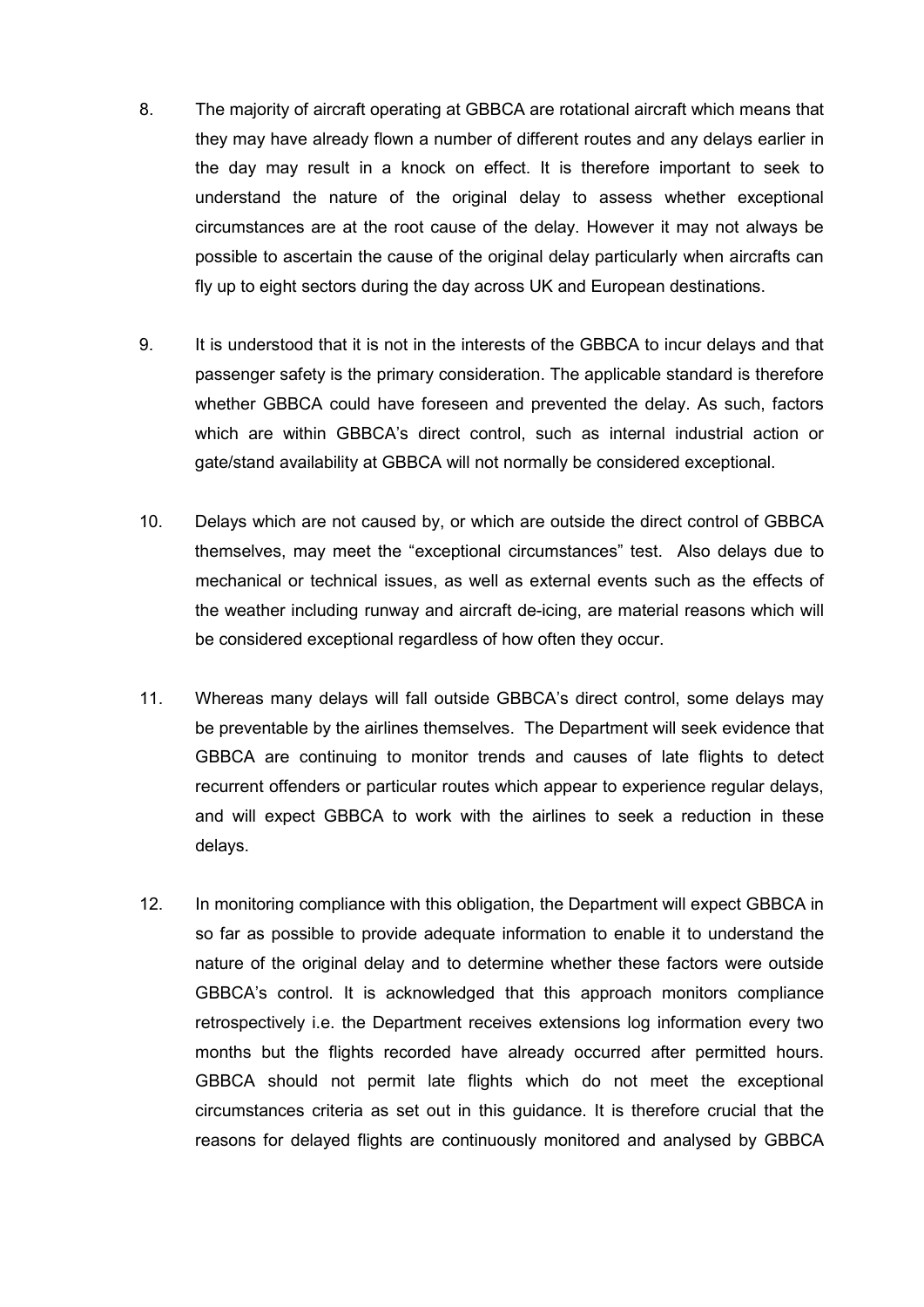- 8. they may have already flown a number of different routes and any delays earlier in the day may result in a knock on effect. It is therefore important to seek to understand the nature of the original delay to assess whether exceptional circumstances are at the root cause of the delay. However it may not always be possible to ascertain the cause of the original delay particularly when aircrafts can fly up to eight sectors during the day across UK and European destinations. The majority of aircraft operating at GBBCA are rotational aircraft which means that
- 9. passenger safety is the primary consideration. The applicable standard is therefore whether GBBCA could have foreseen and prevented the delay. As such, factors which are within GBBCA's direct control, such as internal industrial action or gate/stand availability at GBBCA will not normally be considered exceptional. It is understood that it is not in the interests of the GBBCA to incur delays and that
- $10<sub>1</sub>$  themselves, may meet the "exceptional circumstances" test. Also delays due to mechanical or technical issues, as well as external events such as the effects of the weather including runway and aircraft de-icing, are material reasons which will be considered exceptional regardless of how often they occur. Delays which are not caused by, or which are outside the direct control of GBBCA
- 11. Whereas many delays will fall outside GBBCA's direct control, some delays may be preventable by the airlines themselves. The Department will seek evidence that GBBCA are continuing to monitor trends and causes of late flights to detect recurrent offenders or particular routes which appear to experience regular delays, and will expect GBBCA to work with the airlines to seek a reduction in these delays.
- $12.$  so far as possible to provide adequate information to enable it to understand the nature of the original delay and to determine whether these factors were outside GBBCA's control. It is acknowledged that this approach monitors compliance retrospectively i.e. the Department receives extensions log information every two months but the flights recorded have already occurred after permitted hours. GBBCA should not permit late flights which do not meet the exceptional circumstances criteria as set out in this guidance. It is therefore crucial that the reasons for delayed flights are continuously monitored and analysed by GBBCAIn monitoring compliance with this obligation, the Department will expect GBBCA in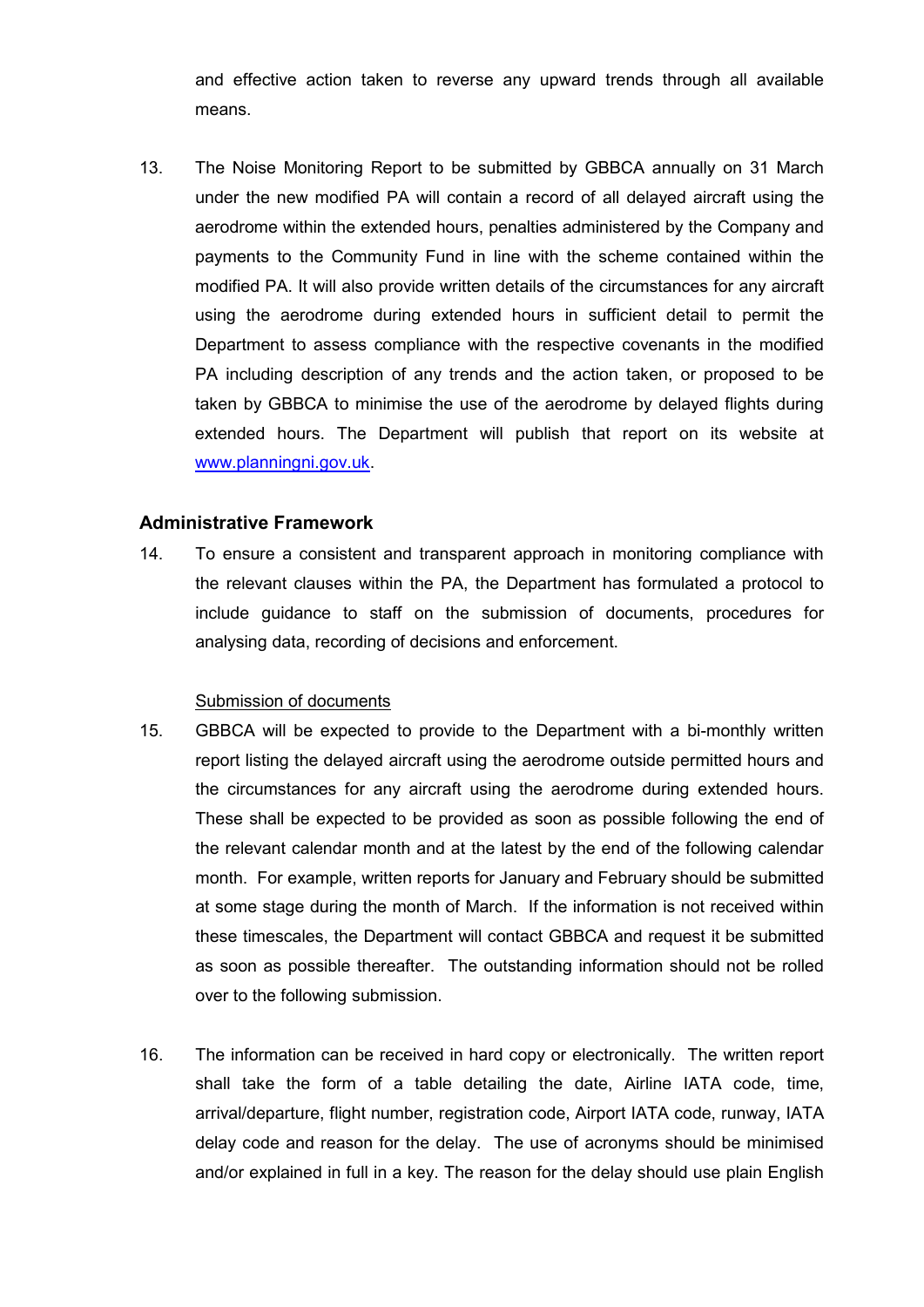and effective action taken to reverse any upward trends through all available means.

 $13.$  under the new modified PA will contain a record of all delayed aircraft using the aerodrome within the extended hours, penalties administered by the Company and payments to the Community Fund in line with the scheme contained within the modified PA. It will also provide written details of the circumstances for any aircraft using the aerodrome during extended hours in sufficient detail to permit the Department to assess compliance with the respective covenants in the modified PA including description of any trends and the action taken, or proposed to be taken by GBBCA to minimise the use of the aerodrome by delayed flights during extended hours. The Department will publish that report on its website at [www.planningni.gov.uk.](http://www.planningni.gov.uk/) The Noise Monitoring Report to be submitted by GBBCA annually on 31 March

## **Administrative Framework**

 the relevant clauses within the PA, the Department has formulated a protocol to include guidance to staff on the submission of documents, procedures for analysing data, recording of decisions and enforcement. 14. To ensure a consistent and transparent approach in monitoring compliance with

#### Submission of documents

- report listing the delayed aircraft using the aerodrome outside permitted hours and the circumstances for any aircraft using the aerodrome during extended hours. These shall be expected to be provided as soon as possible following the end of the relevant calendar month and at the latest by the end of the following calendar month. For example, written reports for January and February should be submitted at some stage during the month of March. If the information is not received within these timescales, the Department will contact GBBCA and request it be submitted as soon as possible thereafter. The outstanding information should not be rolled 15. GBBCA will be expected to provide to the Department with a bi-monthly written over to the following submission.
- 16. The information can be received in hard copy or electronically. The written report shall take the form of a table detailing the date, Airline IATA code, time, arrival/departure, flight number, registration code, Airport IATA code, runway, IATA delay code and reason for the delay. The use of acronyms should be minimised and/or explained in full in a key. The reason for the delay should use plain English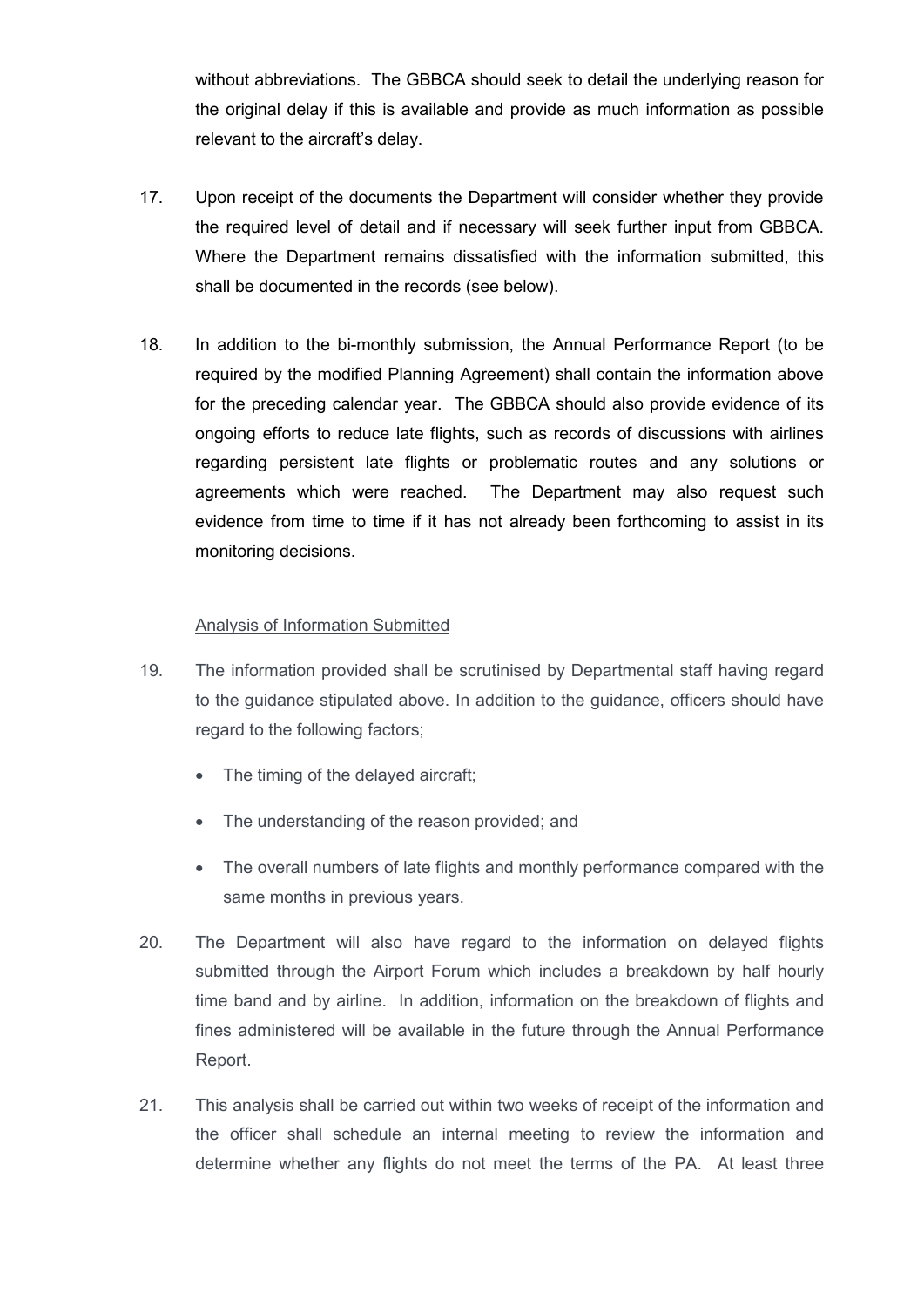without abbreviations. The GBBCA should seek to detail the underlying reason for the original delay if this is available and provide as much information as possible relevant to the aircraft's delay.

- 17. Upon receipt of the documents the Department will consider whether they provide the required level of detail and if necessary will seek further input from GBBCA. Where the Department remains dissatisfied with the information submitted, this shall be documented in the records (see below).
- 18. In addition to the bi-monthly submission, the Annual Performance Report (to be required by the modified Planning Agreement) shall contain the information above for the preceding calendar year. The GBBCA should also provide evidence of its ongoing efforts to reduce late flights, such as records of discussions with airlines regarding persistent late flights or problematic routes and any solutions or agreements which were reached. evidence from time to time if it has not already been forthcoming to assist in its monitoring decisions. The Department may also request such

## Analysis of Information Submitted

- 19. The information provided shall be scrutinised by Departmental staff having regard to the guidance stipulated above. In addition to the guidance, officers should have regard to the following factors;
	- The timing of the delayed aircraft;
	- The understanding of the reason provided; and
	- • The overall numbers of late flights and monthly performance compared with the same months in previous years.
- 20. The Department will also have regard to the information on delayed flights time band and by airline. In addition, information on the breakdown of flights and submitted through the Airport Forum which includes a breakdown by half hourly fines administered will be available in the future through the Annual Performance Report.
- 21. This analysis shall be carried out within two weeks of receipt of the information and the officer shall schedule an internal meeting to review the information and determine whether any flights do not meet the terms of the PA. At least three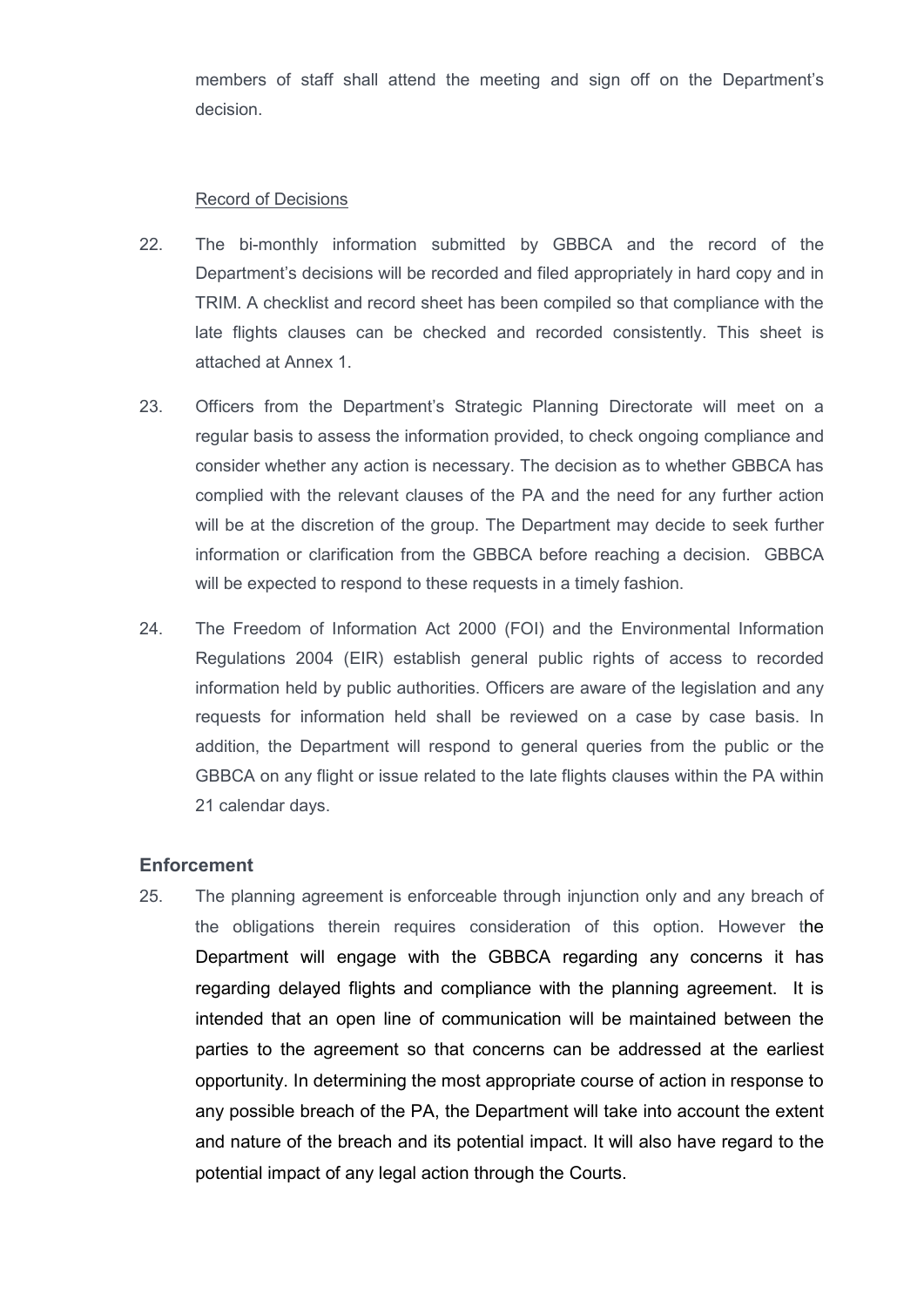members of staff shall attend the meeting and sign off on the Department's decision.

#### Record of Decisions

- 22. The bi-monthly information submitted by GBBCA and the record of the late flights clauses can be checked and recorded consistently. This sheet is attached at Annex 1. Department's decisions will be recorded and filed appropriately in hard copy and in TRIM. A checklist and record sheet has been compiled so that compliance with the
- 23. Officers from the Department's Strategic Planning Directorate will meet on a regular basis to assess the information provided, to check ongoing compliance and consider whether any action is necessary. The decision as to whether GBBCA has complied with the relevant clauses of the PA and the need for any further action will be at the discretion of the group. The Department may decide to seek further information or clarification from the GBBCA before reaching a decision. GBBCA will be expected to respond to these requests in a timely fashion.
- 24. Regulations 2004 (EIR) establish general public rights of access to recorded information held by public authorities. Officers are aware of the legislation and any requests for information held shall be reviewed on a case by case basis. In addition, the Department will respond to general queries from the public or the GBBCA on any flight or issue related to the late flights clauses within the PA within 21 calendar days. The Freedom of Information Act 2000 (FOI) and the Environmental Information

#### **Enforcement**

 25. The planning agreement is enforceable through injunction only and any breach of the obligations therein requires consideration of this option. However the Department will engage with the GBBCA regarding any concerns it has regarding delayed flights and compliance with the planning agreement. It is intended that an open line of communication will be maintained between the parties to the agreement so that concerns can be addressed at the earliest any possible breach of the PA, the Department will take into account the extent and nature of the breach and its potential impact. It will also have regard to the potential impact of any legal action through the Courts.opportunity. In determining the most appropriate course of action in response to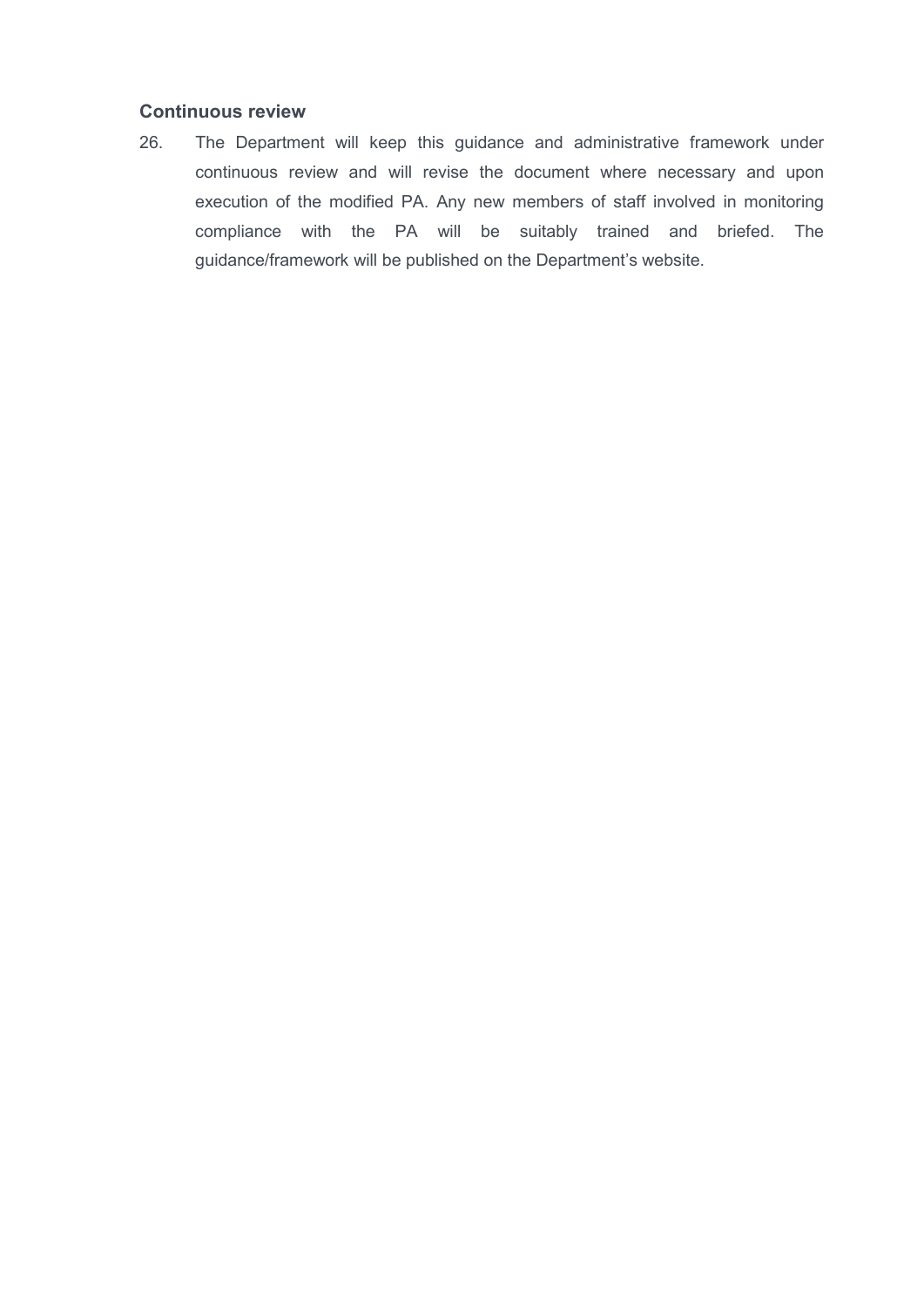## **Continuous review**

 26. The Department will keep this guidance and administrative framework under continuous review and will revise the document where necessary and upon execution of the modified PA. Any new members of staff involved in monitoring compliance with the PA will be suitably trained and briefed. The guidance/framework will be published on the Department's website.